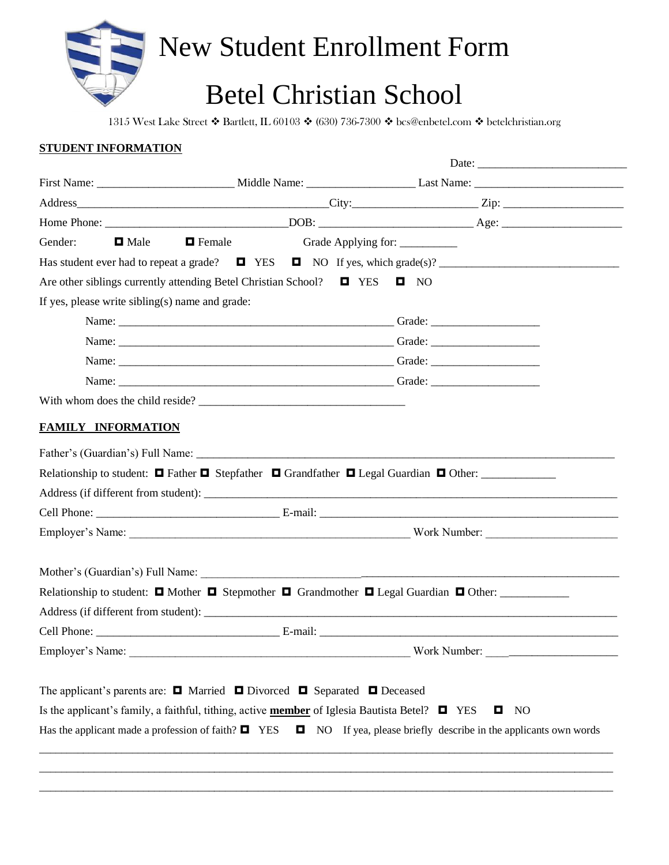

## Betel Christian School

1315 West Lake Street ❖ Bartlett, IL 60103 ❖ (630) 736-7300 ❖ bcs@enbetel.com ❖ betelchristian.org

## **STUDENT INFORMATION**

|                                                 |                                                                                                            | Date:                                                                                                                          |
|-------------------------------------------------|------------------------------------------------------------------------------------------------------------|--------------------------------------------------------------------------------------------------------------------------------|
|                                                 |                                                                                                            |                                                                                                                                |
|                                                 |                                                                                                            |                                                                                                                                |
|                                                 |                                                                                                            |                                                                                                                                |
| Gender:<br>$\blacksquare$ Male                  | $\blacksquare$ Female                                                                                      | Grade Applying for: _________                                                                                                  |
|                                                 |                                                                                                            |                                                                                                                                |
|                                                 | Are other siblings currently attending Betel Christian School? $\Box$ YES $\Box$ NO                        |                                                                                                                                |
| If yes, please write sibling(s) name and grade: |                                                                                                            |                                                                                                                                |
|                                                 |                                                                                                            |                                                                                                                                |
|                                                 |                                                                                                            |                                                                                                                                |
|                                                 |                                                                                                            |                                                                                                                                |
|                                                 |                                                                                                            |                                                                                                                                |
|                                                 | With whom does the child reside?                                                                           |                                                                                                                                |
|                                                 |                                                                                                            |                                                                                                                                |
|                                                 |                                                                                                            |                                                                                                                                |
| <b>FAMILY INFORMATION</b>                       |                                                                                                            |                                                                                                                                |
|                                                 |                                                                                                            |                                                                                                                                |
|                                                 |                                                                                                            | Relationship to student: $\Box$ Father $\Box$ Stepfather $\Box$ Grandfather $\Box$ Legal Guardian $\Box$ Other:                |
|                                                 |                                                                                                            |                                                                                                                                |
|                                                 |                                                                                                            |                                                                                                                                |
|                                                 |                                                                                                            |                                                                                                                                |
|                                                 |                                                                                                            |                                                                                                                                |
|                                                 |                                                                                                            |                                                                                                                                |
|                                                 |                                                                                                            | Relationship to student: $\Box$ Mother $\Box$ Stepmother $\Box$ Grandmother $\Box$ Legal Guardian $\Box$ Other:                |
|                                                 |                                                                                                            |                                                                                                                                |
|                                                 |                                                                                                            |                                                                                                                                |
|                                                 | Employer's Name:                                                                                           |                                                                                                                                |
|                                                 |                                                                                                            |                                                                                                                                |
|                                                 | The applicant's parents are: $\Box$ Married $\Box$ Divorced $\Box$ Separated $\Box$ Deceased               |                                                                                                                                |
|                                                 |                                                                                                            | NO<br>O.                                                                                                                       |
|                                                 | Is the applicant's family, a faithful, tithing, active <b>member</b> of Iglesia Bautista Betel? $\Box$ YES | Has the applicant made a profession of faith? $\Box$ YES $\Box$ NO If yea, please briefly describe in the applicants own words |